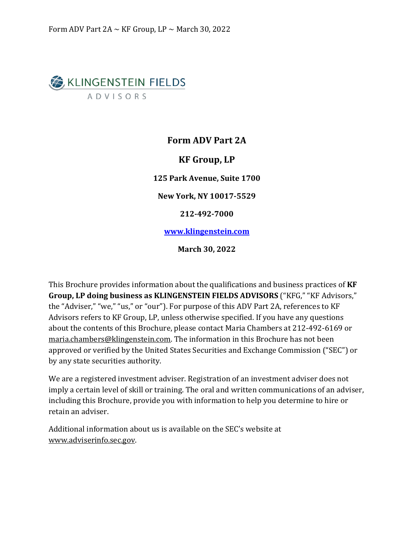# <span id="page-0-0"></span>**B** KLINGENSTEIN FIELDS **ADVISORS**

### **Form ADV Part 2A**

### **KF Group, LP**

**125 Park Avenue, Suite 1700**

**New York, NY 10017-5529**

**212-492-7000**

**www.klingenstein.com**

**March 30, 2022**

This Brochure provides information about the qualifications and business practices of **KF Group, LP doing business as KLINGENSTEIN FIELDS ADVISORS** ("KFG," "KF Advisors," the "Adviser," "we," "us," or "our"). For purpose of this ADV Part 2A, references to KF Advisors refers to KF Group, LP, unless otherwise specified. If you have any questions about the contents of this Brochure, please contact Maria Chambers at 212-492-6169 or maria.chambers@klingenstein.com. The information in this Brochure has not been approved or verified by the United States Securities and Exchange Commission ("SEC") or by any state securities authority.

We are a registered investment adviser. Registration of an investment adviser does not imply a certain level of skill or training. The oral and written communications of an adviser, including this Brochure, provide you with information to help you determine to hire or retain an adviser.

Additional information about us is available on the SEC's website at [www.adviserinfo.sec.gov.](http://www.adviserinfo.sec.gov/)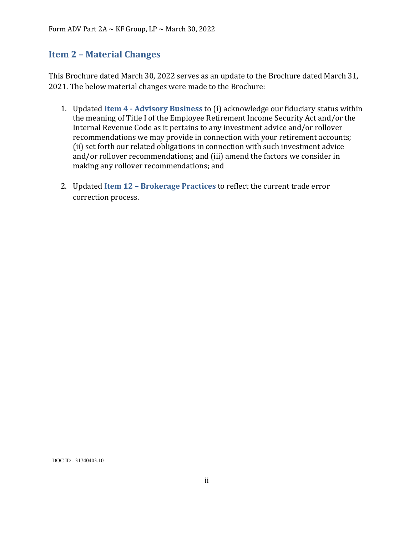### <span id="page-1-0"></span>**Item 2 – Material Changes**

This Brochure dated March 30, 2022 serves as an update to the Brochure dated March 31, 2021. The below material changes were made to the Brochure:

- 1. Updated **Item 4 - Advisory Business** to (i) acknowledge our fiduciary status within the meaning of Title I of the Employee Retirement Income Security Act and/or the Internal Revenue Code as it pertains to any investment advice and/or rollover recommendations we may provide in connection with your retirement accounts; (ii) set forth our related obligations in connection with such investment advice and/or rollover recommendations; and (iii) amend the factors we consider in making any rollover recommendations; and
- 2. Updated **Item 12 – Brokerage Practices** to reflect the current trade error correction process.

DOC ID - 31740403.10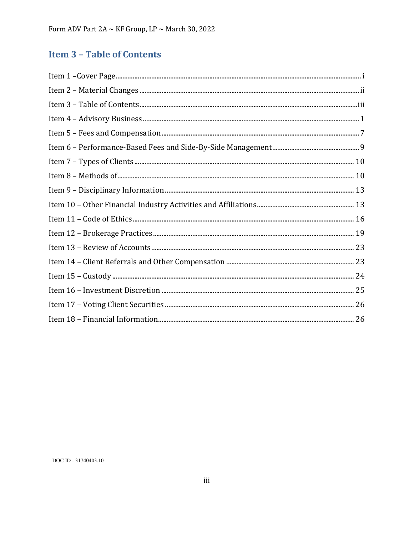# <span id="page-2-0"></span>**Item 3 - Table of Contents**

| $\qquad \qquad \textbf{Item 8 - Methods of} \qquad \qquad \textbf{10}$ |  |
|------------------------------------------------------------------------|--|
|                                                                        |  |
|                                                                        |  |
|                                                                        |  |
|                                                                        |  |
|                                                                        |  |
|                                                                        |  |
|                                                                        |  |
|                                                                        |  |
|                                                                        |  |
|                                                                        |  |

DOC ID - 31740403.10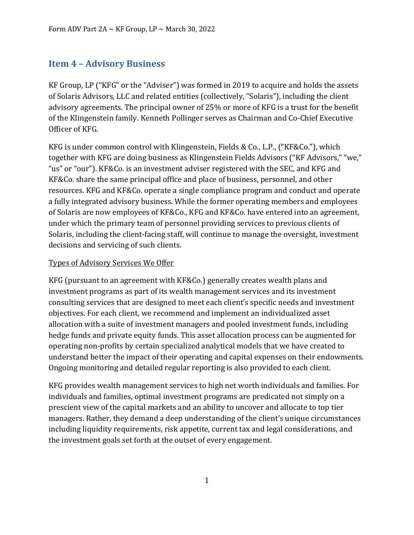### <span id="page-3-0"></span>**Item 4 – Advisory Business**

KF Group, LP ("KFG" or the "Adviser") was formed in 2019 to acquire and holds the assets of Solaris Advisors, LLC and related entities (collectively, "Solaris"), including the client advisory agreements. The principal owner of 25% or more of KFG is a trust for the benefit of the Klingenstein family. Kenneth Pollinger serves as Chairman and Co-Chief Executive Officer of KFG.

KFG is under common control with Klingenstein, Fields & Co., L.P., ("KF&Co."), which together with KFG are doing business as Klingenstein Fields Advisors ("KF Advisors," "we," "us" or "our"). KF&Co. is an investment adviser registered with the SEC, and KFG and KF&Co. share the same principal office and place of business, personnel, and other resources. KFG and KF&Co. operate a single compliance program and conduct and operate a fully integrated advisory business. While the former operating members and employees of Solaris are now employees of KF&Co., KFG and KF&Co. have entered into an agreement, under which the primary team of personnel providing services to previous clients of Solaris, including the client-facing staff, will continue to manage the oversight, investment decisions and servicing of such clients.

### Types of Advisory Services We Offer

KFG (pursuant to an agreement with KF&Co.) generally creates wealth plans and investment programs as part of its wealth management services and its investment consulting services that are designed to meet each client's specific needs and investment objectives. For each client, we recommend and implement an individualized asset allocation with a suite of investment managers and pooled investment funds, including hedge funds and private equity funds. This asset allocation process can be augmented for operating non-profits by certain specialized analytical models that we have created to understand better the impact of their operating and capital expenses on their endowments. Ongoing monitoring and detailed regular reporting is also provided to each client.

KFG provides wealth management services to high net worth individuals and families. For individuals and families, optimal investment programs are predicated not simply on a prescient view of the capital markets and an ability to uncover and allocate to top tier managers. Rather, they demand a deep understanding of the client's unique circumstances including liquidity requirements, risk appetite, current tax and legal considerations, and the investment goals set forth at the outset of every engagement.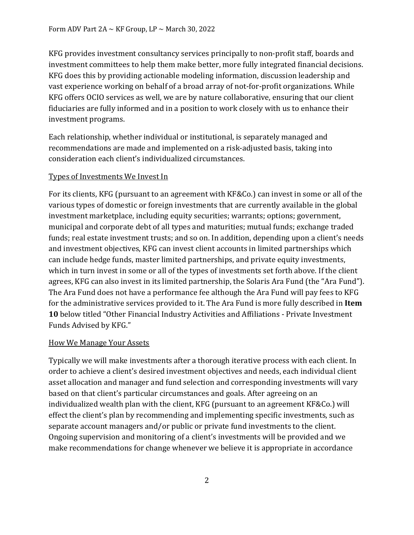KFG provides investment consultancy services principally to non-profit staff, boards and investment committees to help them make better, more fully integrated financial decisions. KFG does this by providing actionable modeling information, discussion leadership and vast experience working on behalf of a broad array of not-for-profit organizations. While KFG offers OCIO services as well, we are by nature collaborative, ensuring that our client fiduciaries are fully informed and in a position to work closely with us to enhance their investment programs.

Each relationship, whether individual or institutional, is separately managed and recommendations are made and implemented on a risk-adjusted basis, taking into consideration each client's individualized circumstances.

### Types of Investments We Invest In

For its clients, KFG (pursuant to an agreement with KF&Co.) can invest in some or all of the various types of domestic or foreign investments that are currently available in the global investment marketplace, including equity securities; warrants; options; government, municipal and corporate debt of all types and maturities; mutual funds; exchange traded funds; real estate investment trusts; and so on. In addition, depending upon a client's needs and investment objectives, KFG can invest client accounts in limited partnerships which can include hedge funds, master limited partnerships, and private equity investments, which in turn invest in some or all of the types of investments set forth above. If the client agrees, KFG can also invest in its limited partnership, the Solaris Ara Fund (the "Ara Fund"). The Ara Fund does not have a performance fee although the Ara Fund will pay fees to KFG for the administrative services provided to it. The Ara Fund is more fully described in **Item 10** below titled "Other Financial Industry Activities and Affiliations - Private Investment Funds Advised by KFG."

### How We Manage Your Assets

Typically we will make investments after a thorough iterative process with each client. In order to achieve a client's desired investment objectives and needs, each individual client asset allocation and manager and fund selection and corresponding investments will vary based on that client's particular circumstances and goals. After agreeing on an individualized wealth plan with the client, KFG (pursuant to an agreement KF&Co.) will effect the client's plan by recommending and implementing specific investments, such as separate account managers and/or public or private fund investments to the client. Ongoing supervision and monitoring of a client's investments will be provided and we make recommendations for change whenever we believe it is appropriate in accordance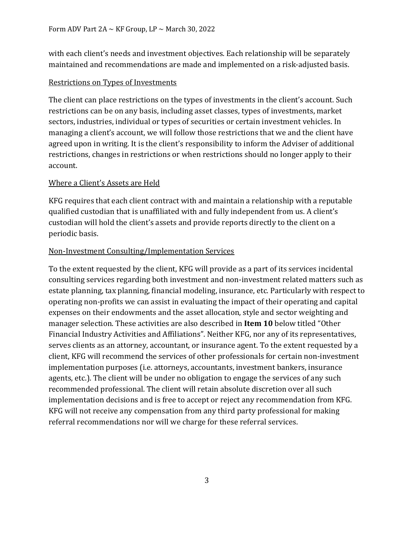with each client's needs and investment objectives. Each relationship will be separately maintained and recommendations are made and implemented on a risk-adjusted basis.

### Restrictions on Types of Investments

The client can place restrictions on the types of investments in the client's account. Such restrictions can be on any basis, including asset classes, types of investments, market sectors, industries, individual or types of securities or certain investment vehicles. In managing a client's account, we will follow those restrictions that we and the client have agreed upon in writing. It is the client's responsibility to inform the Adviser of additional restrictions, changes in restrictions or when restrictions should no longer apply to their account.

### Where a Client's Assets are Held

KFG requires that each client contract with and maintain a relationship with a reputable qualified custodian that is unaffiliated with and fully independent from us. A client's custodian will hold the client's assets and provide reports directly to the client on a periodic basis.

### Non-Investment Consulting/Implementation Services

To the extent requested by the client, KFG will provide as a part of its services incidental consulting services regarding both investment and non-investment related matters such as estate planning, tax planning, financial modeling, insurance, etc. Particularly with respect to operating non-profits we can assist in evaluating the impact of their operating and capital expenses on their endowments and the asset allocation, style and sector weighting and manager selection. These activities are also described in **Item 10** below titled "Other Financial Industry Activities and Affiliations". Neither KFG, nor any of its representatives, serves clients as an attorney, accountant, or insurance agent. To the extent requested by a client, KFG will recommend the services of other professionals for certain non-investment implementation purposes (i.e. attorneys, accountants, investment bankers, insurance agents, etc.). The client will be under no obligation to engage the services of any such recommended professional. The client will retain absolute discretion over all such implementation decisions and is free to accept or reject any recommendation from KFG. KFG will not receive any compensation from any third party professional for making referral recommendations nor will we charge for these referral services.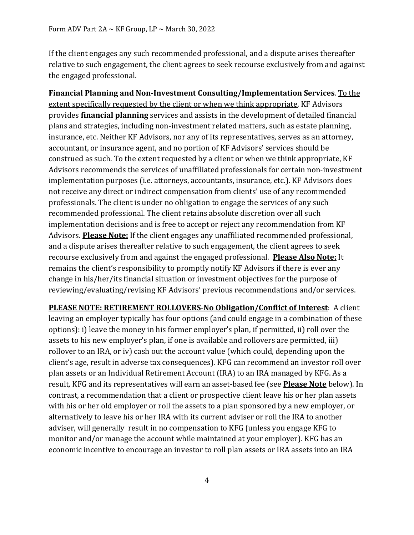If the client engages any such recommended professional, and a dispute arises thereafter relative to such engagement, the client agrees to seek recourse exclusively from and against the engaged professional.

**Financial Planning and Non-Investment Consulting/Implementation Services**. To the extent specifically requested by the client or when we think appropriate, KF Advisors provides **financial planning** services and assists in the development of detailed financial plans and strategies, including non-investment related matters, such as estate planning, insurance, etc. Neither KF Advisors, nor any of its representatives, serves as an attorney, accountant, or insurance agent, and no portion of KF Advisors' services should be construed as such. To the extent requested by a client or when we think appropriate, KF Advisors recommends the services of unaffiliated professionals for certain non-investment implementation purposes (i.e. attorneys, accountants, insurance, etc.). KF Advisors does not receive any direct or indirect compensation from clients' use of any recommended professionals. The client is under no obligation to engage the services of any such recommended professional. The client retains absolute discretion over all such implementation decisions and is free to accept or reject any recommendation from KF Advisors. **Please Note:** If the client engages any unaffiliated recommended professional, and a dispute arises thereafter relative to such engagement, the client agrees to seek recourse exclusively from and against the engaged professional. **Please Also Note:** It remains the client's responsibility to promptly notify KF Advisors if there is ever any change in his/her/its financial situation or investment objectives for the purpose of reviewing/evaluating/revising KF Advisors' previous recommendations and/or services.

**PLEASE NOTE: RETIREMENT ROLLOVERS**-**No Obligation/Conflict of Interest**: A client leaving an employer typically has four options (and could engage in a combination of these options): i) leave the money in his former employer's plan, if permitted, ii) roll over the assets to his new employer's plan, if one is available and rollovers are permitted, iii) rollover to an IRA, or iv) cash out the account value (which could, depending upon the client's age, result in adverse tax consequences). KFG can recommend an investor roll over plan assets or an Individual Retirement Account (IRA) to an IRA managed by KFG. As a result, KFG and its representatives will earn an asset-based fee (see **Please Note** below). In contrast, a recommendation that a client or prospective client leave his or her plan assets with his or her old employer or roll the assets to a plan sponsored by a new employer, or alternatively to leave his or her IRA with its current adviser or roll the IRA to another adviser, will generally result in no compensation to KFG (unless you engage KFG to monitor and/or manage the account while maintained at your employer). KFG has an economic incentive to encourage an investor to roll plan assets or IRA assets into an IRA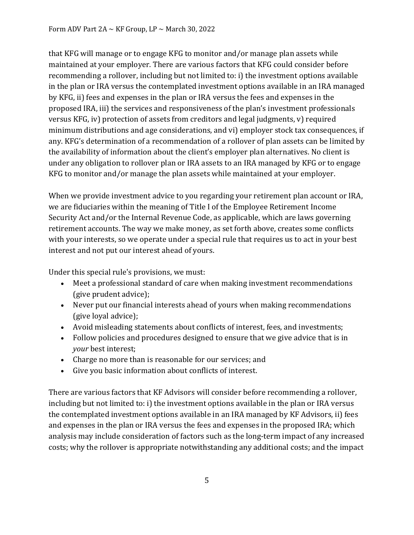that KFG will manage or to engage KFG to monitor and/or manage plan assets while maintained at your employer. There are various factors that KFG could consider before recommending a rollover, including but not limited to: i) the investment options available in the plan or IRA versus the contemplated investment options available in an IRA managed by KFG, ii) fees and expenses in the plan or IRA versus the fees and expenses in the proposed IRA, iii) the services and responsiveness of the plan's investment professionals versus KFG, iv) protection of assets from creditors and legal judgments, v) required minimum distributions and age considerations, and vi) employer stock tax consequences, if any. KFG's determination of a recommendation of a rollover of plan assets can be limited by the availability of information about the client's employer plan alternatives. No client is under any obligation to rollover plan or IRA assets to an IRA managed by KFG or to engage KFG to monitor and/or manage the plan assets while maintained at your employer.

When we provide investment advice to you regarding your retirement plan account or IRA, we are fiduciaries within the meaning of Title I of the Employee Retirement Income Security Act and/or the Internal Revenue Code, as applicable, which are laws governing retirement accounts. The way we make money, as set forth above, creates some conflicts with your interests, so we operate under a special rule that requires us to act in your best interest and not put our interest ahead of yours.

Under this special rule's provisions, we must:

- Meet a professional standard of care when making investment recommendations (give prudent advice);
- Never put our financial interests ahead of yours when making recommendations (give loyal advice);
- Avoid misleading statements about conflicts of interest, fees, and investments;
- Follow policies and procedures designed to ensure that we give advice that is in *your* best interest;
- Charge no more than is reasonable for our services; and
- Give you basic information about conflicts of interest.

There are various factors that KF Advisors will consider before recommending a rollover, including but not limited to: i) the investment options available in the plan or IRA versus the contemplated investment options available in an IRA managed by KF Advisors, ii) fees and expenses in the plan or IRA versus the fees and expenses in the proposed IRA; which analysis may include consideration of factors such as the long-term impact of any increased costs; why the rollover is appropriate notwithstanding any additional costs; and the impact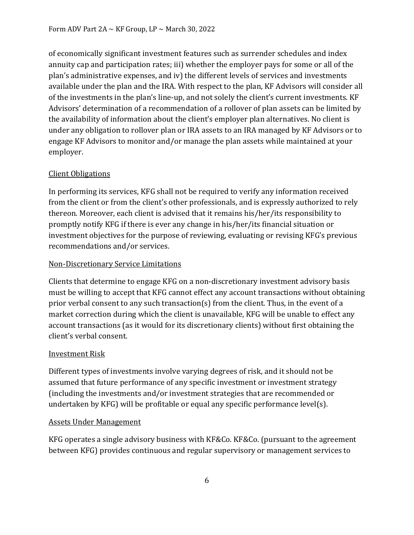of economically significant investment features such as surrender schedules and index annuity cap and participation rates; iii) whether the employer pays for some or all of the plan's administrative expenses, and iv) the different levels of services and investments available under the plan and the IRA. With respect to the plan, KF Advisors will consider all of the investments in the plan's line-up, and not solely the client's current investments. KF Advisors' determination of a recommendation of a rollover of plan assets can be limited by the availability of information about the client's employer plan alternatives. No client is under any obligation to rollover plan or IRA assets to an IRA managed by KF Advisors or to engage KF Advisors to monitor and/or manage the plan assets while maintained at your employer.

### Client Obligations

In performing its services, KFG shall not be required to verify any information received from the client or from the client's other professionals, and is expressly authorized to rely thereon. Moreover, each client is advised that it remains his/her/its responsibility to promptly notify KFG if there is ever any change in his/her/its financial situation or investment objectives for the purpose of reviewing, evaluating or revising KFG's previous recommendations and/or services.

### Non-Discretionary Service Limitations

Clients that determine to engage KFG on a non-discretionary investment advisory basis must be willing to accept that KFG cannot effect any account transactions without obtaining prior verbal consent to any such transaction(s) from the client. Thus, in the event of a market correction during which the client is unavailable, KFG will be unable to effect any account transactions (as it would for its discretionary clients) without first obtaining the client's verbal consent.

### Investment Risk

Different types of investments involve varying degrees of risk, and it should not be assumed that future performance of any specific investment or investment strategy (including the investments and/or investment strategies that are recommended or undertaken by KFG) will be profitable or equal any specific performance level(s).

### Assets Under Management

KFG operates a single advisory business with KF&Co. KF&Co. (pursuant to the agreement between KFG) provides continuous and regular supervisory or management services to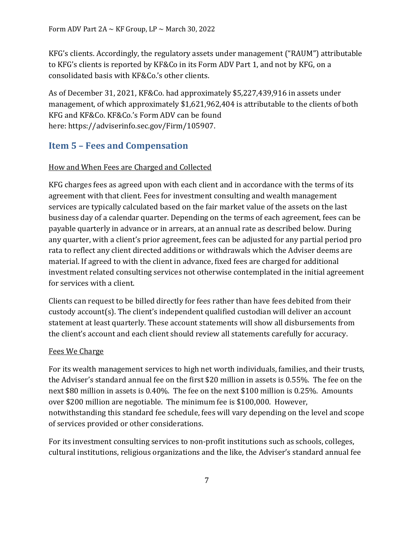KFG's clients. Accordingly, the regulatory assets under management ("RAUM") attributable to KFG's clients is reported by KF&Co in its Form ADV Part 1, and not by KFG, on a consolidated basis with KF&Co.'s other clients.

As of December 31, 2021, KF&Co. had approximately \$5,227,439,916 in assets under management, of which approximately \$1,621,962,404 is attributable to the clients of both KFG and KF&Co. KF&Co.'s Form ADV can be found here: [https://adviserinfo.sec.gov/Firm/105907.](https://adviserinfo.sec.gov/Firm/105907)

### <span id="page-9-0"></span>**Item 5 – Fees and Compensation**

### How and When Fees are Charged and Collected

KFG charges fees as agreed upon with each client and in accordance with the terms of its agreement with that client. Fees for investment consulting and wealth management services are typically calculated based on the fair market value of the assets on the last business day of a calendar quarter. Depending on the terms of each agreement, fees can be payable quarterly in advance or in arrears, at an annual rate as described below. During any quarter, with a client's prior agreement, fees can be adjusted for any partial period pro rata to reflect any client directed additions or withdrawals which the Adviser deems are material. If agreed to with the client in advance, fixed fees are charged for additional investment related consulting services not otherwise contemplated in the initial agreement for services with a client.

Clients can request to be billed directly for fees rather than have fees debited from their custody account(s). The client's independent qualified custodian will deliver an account statement at least quarterly. These account statements will show all disbursements from the client's account and each client should review all statements carefully for accuracy.

### Fees We Charge

For its wealth management services to high net worth individuals, families, and their trusts, the Adviser's standard annual fee on the first \$20 million in assets is 0.55%. The fee on the next \$80 million in assets is 0.40%. The fee on the next \$100 million is 0.25%. Amounts over \$200 million are negotiable. The minimum fee is \$100,000. However, notwithstanding this standard fee schedule, fees will vary depending on the level and scope of services provided or other considerations.

For its investment consulting services to non-profit institutions such as schools, colleges, cultural institutions, religious organizations and the like, the Adviser's standard annual fee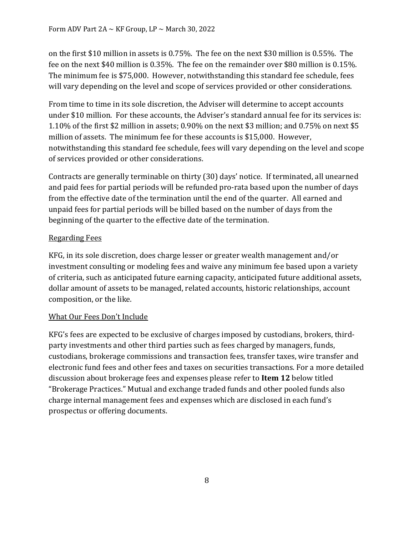on the first \$10 million in assets is 0.75%. The fee on the next \$30 million is 0.55%. The fee on the next \$40 million is 0.35%. The fee on the remainder over \$80 million is 0.15%. The minimum fee is \$75,000. However, notwithstanding this standard fee schedule, fees will vary depending on the level and scope of services provided or other considerations.

From time to time in its sole discretion, the Adviser will determine to accept accounts under \$10 million. For these accounts, the Adviser's standard annual fee for its services is: 1.10% of the first \$2 million in assets; 0.90% on the next \$3 million; and 0.75% on next \$5 million of assets. The minimum fee for these accounts is \$15,000. However, notwithstanding this standard fee schedule, fees will vary depending on the level and scope of services provided or other considerations.

Contracts are generally terminable on thirty (30) days' notice. If terminated, all unearned and paid fees for partial periods will be refunded pro-rata based upon the number of days from the effective date of the termination until the end of the quarter. All earned and unpaid fees for partial periods will be billed based on the number of days from the beginning of the quarter to the effective date of the termination.

### Regarding Fees

KFG, in its sole discretion, does charge lesser or greater wealth management and/or investment consulting or modeling fees and waive any minimum fee based upon a variety of criteria, such as anticipated future earning capacity, anticipated future additional assets, dollar amount of assets to be managed, related accounts, historic relationships, account composition, or the like.

### What Our Fees Don't Include

KFG's fees are expected to be exclusive of charges imposed by custodians, brokers, thirdparty investments and other third parties such as fees charged by managers, funds, custodians, brokerage commissions and transaction fees, transfer taxes, wire transfer and electronic fund fees and other fees and taxes on securities transactions. For a more detailed discussion about brokerage fees and expenses please refer to **Item 12** below titled "Brokerage Practices." Mutual and exchange traded funds and other pooled funds also charge internal management fees and expenses which are disclosed in each fund's prospectus or offering documents.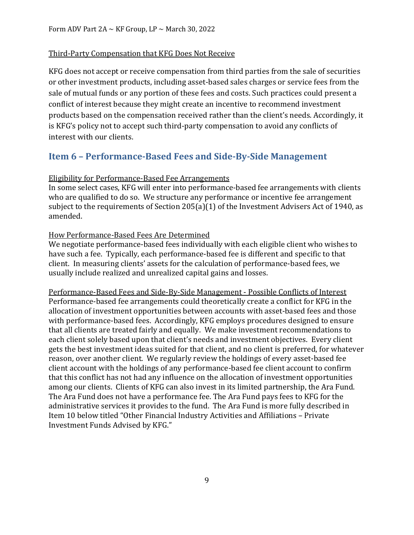#### Third-Party Compensation that KFG Does Not Receive

KFG does not accept or receive compensation from third parties from the sale of securities or other investment products, including asset-based sales charges or service fees from the sale of mutual funds or any portion of these fees and costs. Such practices could present a conflict of interest because they might create an incentive to recommend investment products based on the compensation received rather than the client's needs. Accordingly, it is KFG's policy not to accept such third-party compensation to avoid any conflicts of interest with our clients.

### <span id="page-11-0"></span>**Item 6 – Performance-Based Fees and Side-By-Side Management**

### Eligibility for Performance-Based Fee Arrangements

In some select cases, KFG will enter into performance-based fee arrangements with clients who are qualified to do so. We structure any performance or incentive fee arrangement subject to the requirements of Section 205(a)(1) of the Investment Advisers Act of 1940, as amended.

#### How Performance-Based Fees Are Determined

We negotiate performance-based fees individually with each eligible client who wishes to have such a fee. Typically, each performance-based fee is different and specific to that client. In measuring clients' assets for the calculation of performance-based fees, we usually include realized and unrealized capital gains and losses.

Performance-Based Fees and Side-By-Side Management - Possible Conflicts of Interest Performance-based fee arrangements could theoretically create a conflict for KFG in the allocation of investment opportunities between accounts with asset-based fees and those with performance-based fees. Accordingly, KFG employs procedures designed to ensure that all clients are treated fairly and equally. We make investment recommendations to each client solely based upon that client's needs and investment objectives. Every client gets the best investment ideas suited for that client, and no client is preferred, for whatever reason, over another client. We regularly review the holdings of every asset-based fee client account with the holdings of any performance-based fee client account to confirm that this conflict has not had any influence on the allocation of investment opportunities among our clients. Clients of KFG can also invest in its limited partnership, the Ara Fund. The Ara Fund does not have a performance fee. The Ara Fund pays fees to KFG for the administrative services it provides to the fund. The Ara Fund is more fully described in Item 10 below titled "Other Financial Industry Activities and Affiliations – Private Investment Funds Advised by KFG."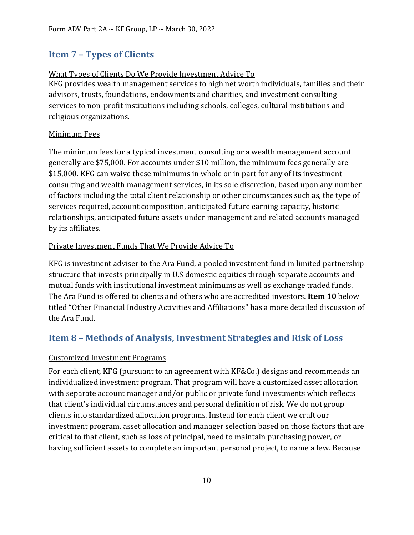# <span id="page-12-0"></span>**Item 7 – Types of Clients**

### What Types of Clients Do We Provide Investment Advice To

KFG provides wealth management services to high net worth individuals, families and their advisors, trusts, foundations, endowments and charities, and investment consulting services to non-profit institutions including schools, colleges, cultural institutions and religious organizations.

### Minimum Fees

The minimum fees for a typical investment consulting or a wealth management account generally are \$75,000. For accounts under \$10 million, the minimum fees generally are \$15,000. KFG can waive these minimums in whole or in part for any of its investment consulting and wealth management services, in its sole discretion, based upon any number of factors including the total client relationship or other circumstances such as, the type of services required, account composition, anticipated future earning capacity, historic relationships, anticipated future assets under management and related accounts managed by its affiliates.

### Private Investment Funds That We Provide Advice To

KFG is investment adviser to the Ara Fund, a pooled investment fund in limited partnership structure that invests principally in U.S domestic equities through separate accounts and mutual funds with institutional investment minimums as well as exchange traded funds. The Ara Fund is offered to clients and others who are accredited investors. **Item 10** below titled "Other Financial Industry Activities and Affiliations" has a more detailed discussion of the Ara Fund.

### <span id="page-12-1"></span>**Item 8 – Methods of Analysis, Investment Strategies and Risk of Loss**

### Customized Investment Programs

For each client, KFG (pursuant to an agreement with KF&Co.) designs and recommends an individualized investment program. That program will have a customized asset allocation with separate account manager and/or public or private fund investments which reflects that client's individual circumstances and personal definition of risk. We do not group clients into standardized allocation programs. Instead for each client we craft our investment program, asset allocation and manager selection based on those factors that are critical to that client, such as loss of principal, need to maintain purchasing power, or having sufficient assets to complete an important personal project, to name a few. Because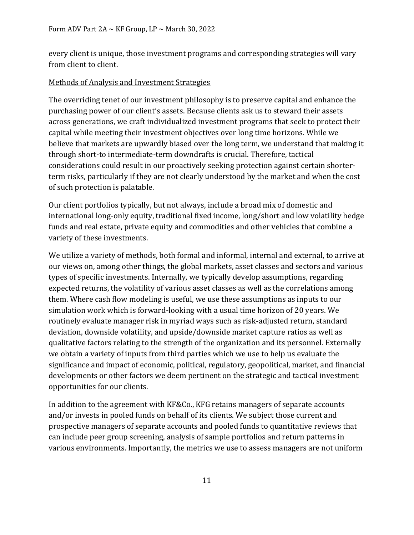every client is unique, those investment programs and corresponding strategies will vary from client to client.

### Methods of Analysis and Investment Strategies

The overriding tenet of our investment philosophy is to preserve capital and enhance the purchasing power of our client's assets. Because clients ask us to steward their assets across generations, we craft individualized investment programs that seek to protect their capital while meeting their investment objectives over long time horizons. While we believe that markets are upwardly biased over the long term, we understand that making it through short-to intermediate-term downdrafts is crucial. Therefore, tactical considerations could result in our proactively seeking protection against certain shorterterm risks, particularly if they are not clearly understood by the market and when the cost of such protection is palatable.

Our client portfolios typically, but not always, include a broad mix of domestic and international long-only equity, traditional fixed income, long/short and low volatility hedge funds and real estate, private equity and commodities and other vehicles that combine a variety of these investments.

We utilize a variety of methods, both formal and informal, internal and external, to arrive at our views on, among other things, the global markets, asset classes and sectors and various types of specific investments. Internally, we typically develop assumptions, regarding expected returns, the volatility of various asset classes as well as the correlations among them. Where cash flow modeling is useful, we use these assumptions as inputs to our simulation work which is forward-looking with a usual time horizon of 20 years. We routinely evaluate manager risk in myriad ways such as risk-adjusted return, standard deviation, downside volatility, and upside/downside market capture ratios as well as qualitative factors relating to the strength of the organization and its personnel. Externally we obtain a variety of inputs from third parties which we use to help us evaluate the significance and impact of economic, political, regulatory, geopolitical, market, and financial developments or other factors we deem pertinent on the strategic and tactical investment opportunities for our clients.

In addition to the agreement with KF&Co., KFG retains managers of separate accounts and/or invests in pooled funds on behalf of its clients. We subject those current and prospective managers of separate accounts and pooled funds to quantitative reviews that can include peer group screening, analysis of sample portfolios and return patterns in various environments. Importantly, the metrics we use to assess managers are not uniform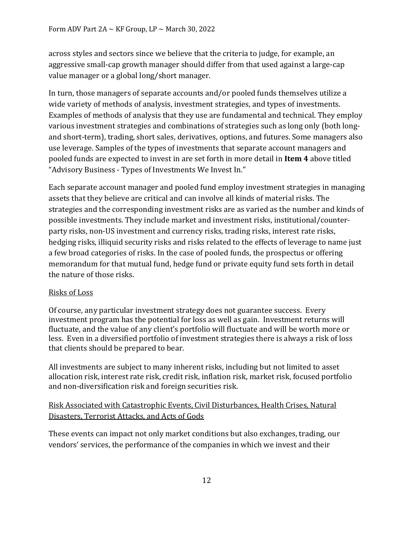across styles and sectors since we believe that the criteria to judge, for example, an aggressive small-cap growth manager should differ from that used against a large-cap value manager or a global long/short manager.

In turn, those managers of separate accounts and/or pooled funds themselves utilize a wide variety of methods of analysis, investment strategies, and types of investments. Examples of methods of analysis that they use are fundamental and technical. They employ various investment strategies and combinations of strategies such as long only (both longand short-term), trading, short sales, derivatives, options, and futures. Some managers also use leverage. Samples of the types of investments that separate account managers and pooled funds are expected to invest in are set forth in more detail in **Item 4** above titled "Advisory Business - Types of Investments We Invest In."

Each separate account manager and pooled fund employ investment strategies in managing assets that they believe are critical and can involve all kinds of material risks. The strategies and the corresponding investment risks are as varied as the number and kinds of possible investments. They include market and investment risks, institutional/counterparty risks, non-US investment and currency risks, trading risks, interest rate risks, hedging risks, illiquid security risks and risks related to the effects of leverage to name just a few broad categories of risks. In the case of pooled funds, the prospectus or offering memorandum for that mutual fund, hedge fund or private equity fund sets forth in detail the nature of those risks.

### Risks of Loss

Of course, any particular investment strategy does not guarantee success. Every investment program has the potential for loss as well as gain. Investment returns will fluctuate, and the value of any client's portfolio will fluctuate and will be worth more or less. Even in a diversified portfolio of investment strategies there is always a risk of loss that clients should be prepared to bear.

All investments are subject to many inherent risks, including but not limited to asset allocation risk, interest rate risk, credit risk, inflation risk, market risk, focused portfolio and non-diversification risk and foreign securities risk.

### Risk Associated with Catastrophic Events, Civil Disturbances, Health Crises, Natural Disasters, Terrorist Attacks, and Acts of Gods

These events can impact not only market conditions but also exchanges, trading, our vendors' services, the performance of the companies in which we invest and their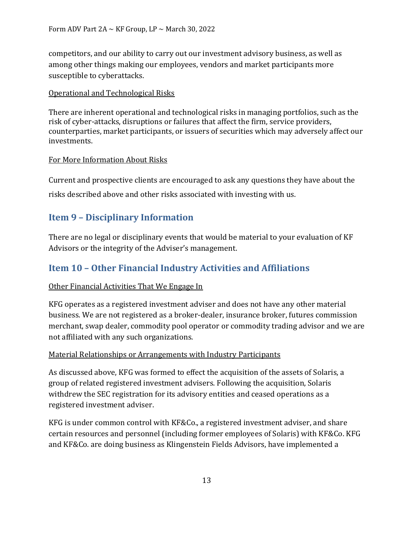competitors, and our ability to carry out our investment advisory business, as well as among other things making our employees, vendors and market participants more susceptible to cyberattacks.

### Operational and Technological Risks

There are inherent operational and technological risks in managing portfolios, such as the risk of cyber-attacks, disruptions or failures that affect the firm, service providers, counterparties, market participants, or issuers of securities which may adversely affect our investments.

### For More Information About Risks

Current and prospective clients are encouraged to ask any questions they have about the risks described above and other risks associated with investing with us.

### <span id="page-15-0"></span>**Item 9 – Disciplinary Information**

There are no legal or disciplinary events that would be material to your evaluation of KF Advisors or the integrity of the Adviser's management.

### <span id="page-15-1"></span>**Item 10 – Other Financial Industry Activities and Affiliations**

### Other Financial Activities That We Engage In

KFG operates as a registered investment adviser and does not have any other material business. We are not registered as a broker-dealer, insurance broker, futures commission merchant, swap dealer, commodity pool operator or commodity trading advisor and we are not affiliated with any such organizations.

### Material Relationships or Arrangements with Industry Participants

As discussed above, KFG was formed to effect the acquisition of the assets of Solaris, a group of related registered investment advisers. Following the acquisition, Solaris withdrew the SEC registration for its advisory entities and ceased operations as a registered investment adviser.

KFG is under common control with KF&Co., a registered investment adviser, and share certain resources and personnel (including former employees of Solaris) with KF&Co. KFG and KF&Co. are doing business as Klingenstein Fields Advisors, have implemented a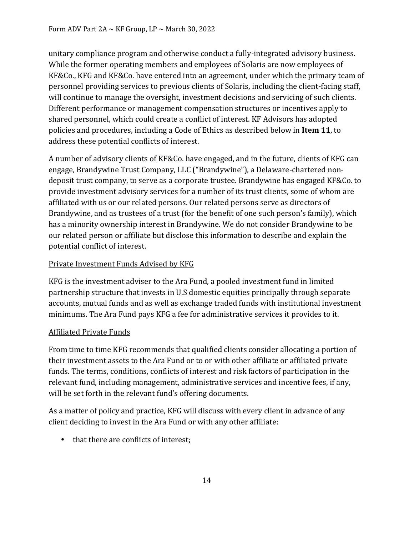unitary compliance program and otherwise conduct a fully-integrated advisory business. While the former operating members and employees of Solaris are now employees of KF&Co., KFG and KF&Co. have entered into an agreement, under which the primary team of personnel providing services to previous clients of Solaris, including the client-facing staff, will continue to manage the oversight, investment decisions and servicing of such clients. Different performance or management compensation structures or incentives apply to shared personnel, which could create a conflict of interest. KF Advisors has adopted policies and procedures, including a Code of Ethics as described below in **Item 11**, to address these potential conflicts of interest.

A number of advisory clients of KF&Co. have engaged, and in the future, clients of KFG can engage, Brandywine Trust Company, LLC ("Brandywine"), a Delaware-chartered nondeposit trust company, to serve as a corporate trustee. Brandywine has engaged KF&Co. to provide investment advisory services for a number of its trust clients, some of whom are affiliated with us or our related persons. Our related persons serve as directors of Brandywine, and as trustees of a trust (for the benefit of one such person's family), which has a minority ownership interest in Brandywine. We do not consider Brandywine to be our related person or affiliate but disclose this information to describe and explain the potential conflict of interest.

### Private Investment Funds Advised by KFG

KFG is the investment adviser to the Ara Fund, a pooled investment fund in limited partnership structure that invests in U.S domestic equities principally through separate accounts, mutual funds and as well as exchange traded funds with institutional investment minimums. The Ara Fund pays KFG a fee for administrative services it provides to it.

### Affiliated Private Funds

From time to time KFG recommends that qualified clients consider allocating a portion of their investment assets to the Ara Fund or to or with other affiliate or affiliated private funds. The terms, conditions, conflicts of interest and risk factors of participation in the relevant fund, including management, administrative services and incentive fees, if any, will be set forth in the relevant fund's offering documents.

As a matter of policy and practice, KFG will discuss with every client in advance of any client deciding to invest in the Ara Fund or with any other affiliate:

• that there are conflicts of interest;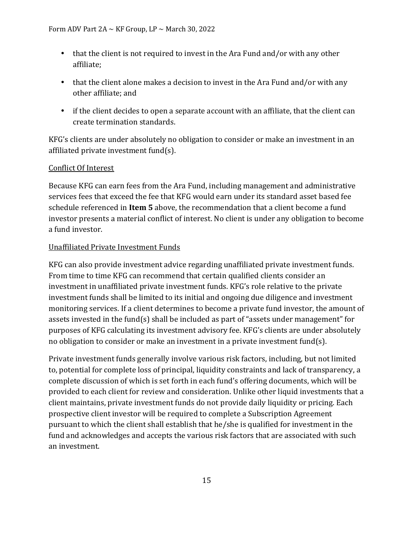- that the client is not required to invest in the Ara Fund and/or with any other affiliate;
- that the client alone makes a decision to invest in the Ara Fund and/or with any other affiliate; and
- if the client decides to open a separate account with an affiliate, that the client can create termination standards.

KFG's clients are under absolutely no obligation to consider or make an investment in an affiliated private investment fund(s).

### Conflict Of Interest

Because KFG can earn fees from the Ara Fund, including management and administrative services fees that exceed the fee that KFG would earn under its standard asset based fee schedule referenced in **Item 5** above, the recommendation that a client become a fund investor presents a material conflict of interest. No client is under any obligation to become a fund investor.

### Unaffiliated Private Investment Funds

KFG can also provide investment advice regarding unaffiliated private investment funds. From time to time KFG can recommend that certain qualified clients consider an investment in unaffiliated private investment funds. KFG's role relative to the private investment funds shall be limited to its initial and ongoing due diligence and investment monitoring services. If a client determines to become a private fund investor, the amount of assets invested in the fund(s) shall be included as part of "assets under management" for purposes of KFG calculating its investment advisory fee. KFG's clients are under absolutely no obligation to consider or make an investment in a private investment fund(s).

Private investment funds generally involve various risk factors, including, but not limited to, potential for complete loss of principal, liquidity constraints and lack of transparency, a complete discussion of which is set forth in each fund's offering documents, which will be provided to each client for review and consideration. Unlike other liquid investments that a client maintains, private investment funds do not provide daily liquidity or pricing. Each prospective client investor will be required to complete a Subscription Agreement pursuant to which the client shall establish that he/she is qualified for investment in the fund and acknowledges and accepts the various risk factors that are associated with such an investment.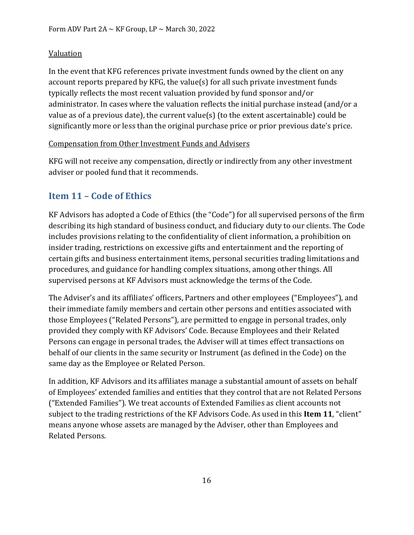### Valuation

In the event that KFG references private investment funds owned by the client on any account reports prepared by KFG, the value(s) for all such private investment funds typically reflects the most recent valuation provided by fund sponsor and/or administrator. In cases where the valuation reflects the initial purchase instead (and/or a value as of a previous date), the current value(s) (to the extent ascertainable) could be significantly more or less than the original purchase price or prior previous date's price.

### Compensation from Other Investment Funds and Advisers

KFG will not receive any compensation, directly or indirectly from any other investment adviser or pooled fund that it recommends.

# <span id="page-18-0"></span>**Item 11 – Code of Ethics**

KF Advisors has adopted a Code of Ethics (the "Code") for all supervised persons of the firm describing its high standard of business conduct, and fiduciary duty to our clients. The Code includes provisions relating to the confidentiality of client information, a prohibition on insider trading, restrictions on excessive gifts and entertainment and the reporting of certain gifts and business entertainment items, personal securities trading limitations and procedures, and guidance for handling complex situations, among other things. All supervised persons at KF Advisors must acknowledge the terms of the Code.

The Adviser's and its affiliates' officers, Partners and other employees ("Employees"), and their immediate family members and certain other persons and entities associated with those Employees ("Related Persons"), are permitted to engage in personal trades, only provided they comply with KF Advisors' Code. Because Employees and their Related Persons can engage in personal trades, the Adviser will at times effect transactions on behalf of our clients in the same security or Instrument (as defined in the Code) on the same day as the Employee or Related Person.

In addition, KF Advisors and its affiliates manage a substantial amount of assets on behalf of Employees' extended families and entities that they control that are not Related Persons ("Extended Families"). We treat accounts of Extended Families as client accounts not subject to the trading restrictions of the KF Advisors Code. As used in this **Item 11**, "client" means anyone whose assets are managed by the Adviser, other than Employees and Related Persons.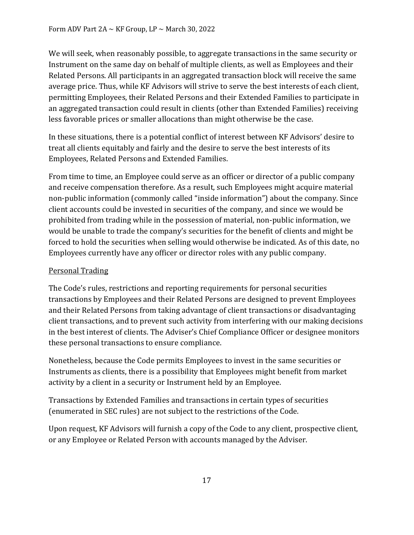We will seek, when reasonably possible, to aggregate transactions in the same security or Instrument on the same day on behalf of multiple clients, as well as Employees and their Related Persons. All participants in an aggregated transaction block will receive the same average price. Thus, while KF Advisors will strive to serve the best interests of each client, permitting Employees, their Related Persons and their Extended Families to participate in an aggregated transaction could result in clients (other than Extended Families) receiving less favorable prices or smaller allocations than might otherwise be the case.

In these situations, there is a potential conflict of interest between KF Advisors' desire to treat all clients equitably and fairly and the desire to serve the best interests of its Employees, Related Persons and Extended Families.

From time to time, an Employee could serve as an officer or director of a public company and receive compensation therefore. As a result, such Employees might acquire material non-public information (commonly called "inside information") about the company. Since client accounts could be invested in securities of the company, and since we would be prohibited from trading while in the possession of material, non-public information, we would be unable to trade the company's securities for the benefit of clients and might be forced to hold the securities when selling would otherwise be indicated. As of this date, no Employees currently have any officer or director roles with any public company.

### Personal Trading

The Code's rules, restrictions and reporting requirements for personal securities transactions by Employees and their Related Persons are designed to prevent Employees and their Related Persons from taking advantage of client transactions or disadvantaging client transactions, and to prevent such activity from interfering with our making decisions in the best interest of clients. The Adviser's Chief Compliance Officer or designee monitors these personal transactions to ensure compliance.

Nonetheless, because the Code permits Employees to invest in the same securities or Instruments as clients, there is a possibility that Employees might benefit from market activity by a client in a security or Instrument held by an Employee.

Transactions by Extended Families and transactions in certain types of securities (enumerated in SEC rules) are not subject to the restrictions of the Code.

Upon request, KF Advisors will furnish a copy of the Code to any client, prospective client, or any Employee or Related Person with accounts managed by the Adviser.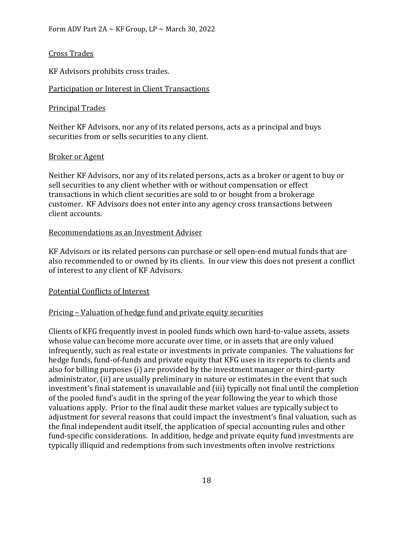### Cross Trades

KF Advisors prohibits cross trades.

### Participation or Interest in Client Transactions

### Principal Trades

Neither KF Advisors, nor any of its related persons, acts as a principal and buys securities from or sells securities to any client.

### Broker or Agent

Neither KF Advisors, nor any of its related persons, acts as a broker or agent to buy or sell securities to any client whether with or without compensation or effect transactions in which client securities are sold to or bought from a brokerage customer. KF Advisors does not enter into any agency cross transactions between client accounts.

### Recommendations as an Investment Adviser

KF Advisors or its related persons can purchase or sell open-end mutual funds that are also recommended to or owned by its clients. In our view this does not present a conflict of interest to any client of KF Advisors.

### Potential Conflicts of Interest

### Pricing – Valuation of hedge fund and private equity securities

Clients of KFG frequently invest in pooled funds which own hard-to-value assets, assets whose value can become more accurate over time, or in assets that are only valued infrequently, such as real estate or investments in private companies. The valuations for hedge funds, fund-of-funds and private equity that KFG uses in its reports to clients and also for billing purposes (i) are provided by the investment manager or third-party administrator, (ii) are usually preliminary in nature or estimates in the event that such investment's final statement is unavailable and (iii) typically not final until the completion of the pooled fund's audit in the spring of the year following the year to which those valuations apply. Prior to the final audit these market values are typically subject to adjustment for several reasons that could impact the investment's final valuation, such as the final independent audit itself, the application of special accounting rules and other fund-specific considerations. In addition, hedge and private equity fund investments are typically illiquid and redemptions from such investments often involve restrictions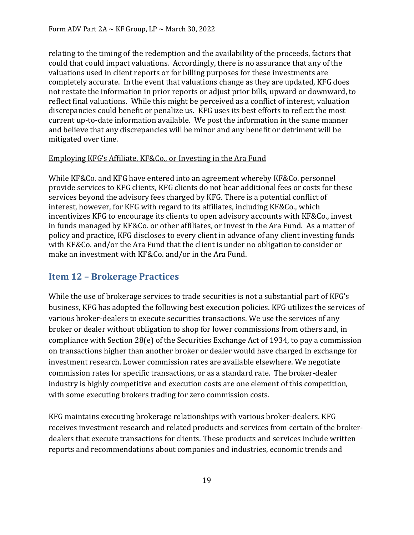relating to the timing of the redemption and the availability of the proceeds, factors that could that could impact valuations. Accordingly, there is no assurance that any of the valuations used in client reports or for billing purposes for these investments are completely accurate. In the event that valuations change as they are updated, KFG does not restate the information in prior reports or adjust prior bills, upward or downward, to reflect final valuations. While this might be perceived as a conflict of interest, valuation discrepancies could benefit or penalize us. KFG uses its best efforts to reflect the most current up-to-date information available. We post the information in the same manner and believe that any discrepancies will be minor and any benefit or detriment will be mitigated over time.

### Employing KFG's Affiliate, KF&Co., or Investing in the Ara Fund

While KF&Co. and KFG have entered into an agreement whereby KF&Co. personnel provide services to KFG clients, KFG clients do not bear additional fees or costs for these services beyond the advisory fees charged by KFG. There is a potential conflict of interest, however, for KFG with regard to its affiliates, including KF&Co., which incentivizes KFG to encourage its clients to open advisory accounts with KF&Co., invest in funds managed by KF&Co. or other affiliates, or invest in the Ara Fund. As a matter of policy and practice, KFG discloses to every client in advance of any client investing funds with KF&Co. and/or the Ara Fund that the client is under no obligation to consider or make an investment with KF&Co. and/or in the Ara Fund.

### <span id="page-21-0"></span>**Item 12 – Brokerage Practices**

While the use of brokerage services to trade securities is not a substantial part of KFG's business, KFG has adopted the following best execution policies. KFG utilizes the services of various broker-dealers to execute securities transactions. We use the services of any broker or dealer without obligation to shop for lower commissions from others and, in compliance with Section 28(e) of the Securities Exchange Act of 1934, to pay a commission on transactions higher than another broker or dealer would have charged in exchange for investment research. Lower commission rates are available elsewhere. We negotiate commission rates for specific transactions, or as a standard rate. The broker-dealer industry is highly competitive and execution costs are one element of this competition, with some executing brokers trading for zero commission costs.

KFG maintains executing brokerage relationships with various broker-dealers. KFG receives investment research and related products and services from certain of the brokerdealers that execute transactions for clients. These products and services include written reports and recommendations about companies and industries, economic trends and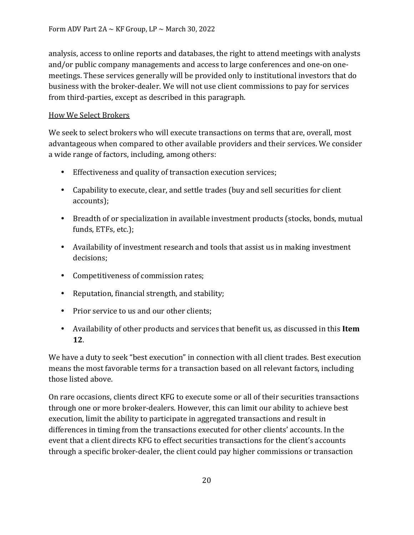analysis, access to online reports and databases, the right to attend meetings with analysts and/or public company managements and access to large conferences and one-on onemeetings. These services generally will be provided only to institutional investors that do business with the broker-dealer. We will not use client commissions to pay for services from third-parties, except as described in this paragraph.

### How We Select Brokers

We seek to select brokers who will execute transactions on terms that are, overall, most advantageous when compared to other available providers and their services. We consider a wide range of factors, including, among others:

- Effectiveness and quality of transaction execution services;
- Capability to execute, clear, and settle trades (buy and sell securities for client accounts);
- Breadth of or specialization in available investment products (stocks, bonds, mutual funds, ETFs, etc.);
- Availability of investment research and tools that assist us in making investment decisions;
- Competitiveness of commission rates;
- Reputation, financial strength, and stability;
- Prior service to us and our other clients;
- Availability of other products and services that benefit us, as discussed in this **Item 12**.

We have a duty to seek "best execution" in connection with all client trades. Best execution means the most favorable terms for a transaction based on all relevant factors, including those listed above.

On rare occasions, clients direct KFG to execute some or all of their securities transactions through one or more broker-dealers. However, this can limit our ability to achieve best execution, limit the ability to participate in aggregated transactions and result in differences in timing from the transactions executed for other clients' accounts. In the event that a client directs KFG to effect securities transactions for the client's accounts through a specific broker-dealer, the client could pay higher commissions or transaction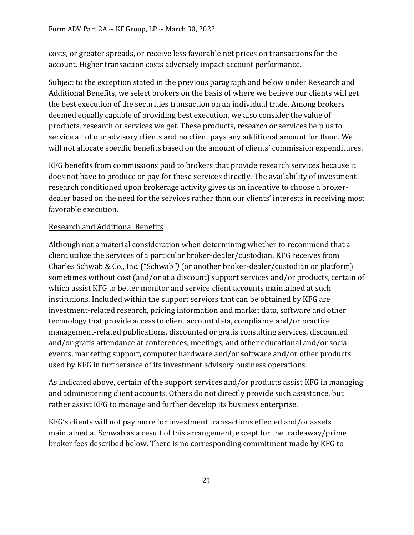costs, or greater spreads, or receive less favorable net prices on transactions for the account. Higher transaction costs adversely impact account performance.

Subject to the exception stated in the previous paragraph and below under Research and Additional Benefits, we select brokers on the basis of where we believe our clients will get the best execution of the securities transaction on an individual trade. Among brokers deemed equally capable of providing best execution, we also consider the value of products, research or services we get. These products, research or services help us to service all of our advisory clients and no client pays any additional amount for them. We will not allocate specific benefits based on the amount of clients' commission expenditures.

KFG benefits from commissions paid to brokers that provide research services because it does not have to produce or pay for these services directly. The availability of investment research conditioned upon brokerage activity gives us an incentive to choose a brokerdealer based on the need for the services rather than our clients' interests in receiving most favorable execution.

### Research and Additional Benefits

Although not a material consideration when determining whether to recommend that a client utilize the services of a particular broker-dealer/custodian, KFG receives from Charles Schwab & Co., Inc. ("Schwab*")* (or another broker-dealer/custodian or platform) sometimes without cost (and/or at a discount) support services and/or products, certain of which assist KFG to better monitor and service client accounts maintained at such institutions. Included within the support services that can be obtained by KFG are investment-related research, pricing information and market data, software and other technology that provide access to client account data, compliance and/or practice management-related publications, discounted or gratis consulting services, discounted and/or gratis attendance at conferences, meetings, and other educational and/or social events, marketing support, computer hardware and/or software and/or other products used by KFG in furtherance of its investment advisory business operations.

As indicated above, certain of the support services and/or products assist KFG in managing and administering client accounts. Others do not directly provide such assistance, but rather assist KFG to manage and further develop its business enterprise.

KFG's clients will not pay more for investment transactions effected and/or assets maintained at Schwab as a result of this arrangement, except for the tradeaway/prime broker fees described below. There is no corresponding commitment made by KFG to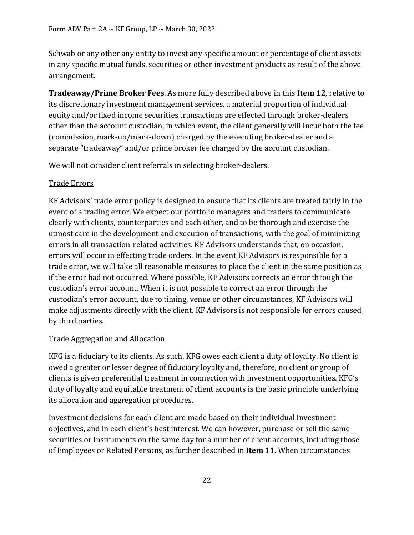Schwab or any other any entity to invest any specific amount or percentage of client assets in any specific mutual funds, securities or other investment products as result of the above arrangement.

**Tradeaway/Prime Broker Fees**. As more fully described above in this **Item 12**, relative to its discretionary investment management services, a material proportion of individual equity and/or fixed income securities transactions are effected through broker-dealers other than the account custodian, in which event, the client generally will incur both the fee (commission, mark-up/mark-down) charged by the executing broker-dealer and a separate "tradeaway" and/or prime broker fee charged by the account custodian.

We will not consider client referrals in selecting broker-dealers.

### Trade Errors

KF Advisors' trade error policy is designed to ensure that its clients are treated fairly in the event of a trading error. We expect our portfolio managers and traders to communicate clearly with clients, counterparties and each other, and to be thorough and exercise the utmost care in the development and execution of transactions, with the goal of minimizing errors in all transaction-related activities. KF Advisors understands that, on occasion, errors will occur in effecting trade orders. In the event KF Advisors is responsible for a trade error, we will take all reasonable measures to place the client in the same position as if the error had not occurred. Where possible, KF Advisors corrects an error through the custodian's error account. When it is not possible to correct an error through the custodian's error account, due to timing, venue or other circumstances, KF Advisors will make adjustments directly with the client. KF Advisors is not responsible for errors caused by third parties.

### Trade Aggregation and Allocation

KFG is a fiduciary to its clients. As such, KFG owes each client a duty of loyalty. No client is owed a greater or lesser degree of fiduciary loyalty and, therefore, no client or group of clients is given preferential treatment in connection with investment opportunities. KFG's duty of loyalty and equitable treatment of client accounts is the basic principle underlying its allocation and aggregation procedures.

Investment decisions for each client are made based on their individual investment objectives, and in each client's best interest. We can however, purchase or sell the same securities or Instruments on the same day for a number of client accounts, including those of Employees or Related Persons, as further described in **Item 11**. When circumstances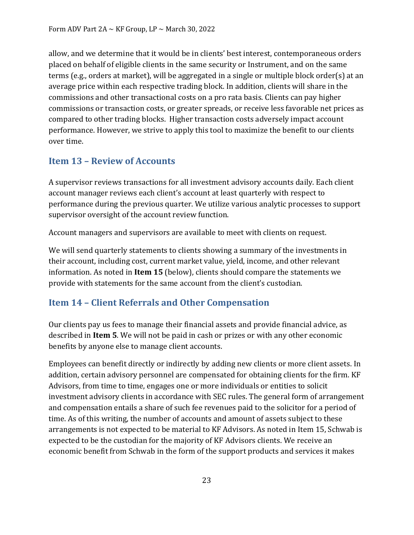allow, and we determine that it would be in clients' best interest, contemporaneous orders placed on behalf of eligible clients in the same security or Instrument, and on the same terms (e.g., orders at market), will be aggregated in a single or multiple block order(s) at an average price within each respective trading block. In addition, clients will share in the commissions and other transactional costs on a pro rata basis. Clients can pay higher commissions or transaction costs, or greater spreads, or receive less favorable net prices as compared to other trading blocks. Higher transaction costs adversely impact account performance. However, we strive to apply this tool to maximize the benefit to our clients over time.

# <span id="page-25-0"></span>**Item 13 – Review of Accounts**

A supervisor reviews transactions for all investment advisory accounts daily. Each client account manager reviews each client's account at least quarterly with respect to performance during the previous quarter. We utilize various analytic processes to support supervisor oversight of the account review function.

Account managers and supervisors are available to meet with clients on request.

We will send quarterly statements to clients showing a summary of the investments in their account, including cost, current market value, yield, income, and other relevant information. As noted in **Item 15** (below), clients should compare the statements we provide with statements for the same account from the client's custodian.

### <span id="page-25-1"></span>**Item 14 – Client Referrals and Other Compensation**

Our clients pay us fees to manage their financial assets and provide financial advice, as described in **Item 5**. We will not be paid in cash or prizes or with any other economic benefits by anyone else to manage client accounts.

Employees can benefit directly or indirectly by adding new clients or more client assets. In addition, certain advisory personnel are compensated for obtaining clients for the firm. KF Advisors, from time to time, engages one or more individuals or entities to solicit investment advisory clients in accordance with SEC rules. The general form of arrangement and compensation entails a share of such fee revenues paid to the solicitor for a period of time. As of this writing, the number of accounts and amount of assets subject to these arrangements is not expected to be material to KF Advisors. As noted in Item 15, Schwab is expected to be the custodian for the majority of KF Advisors clients. We receive an economic benefit from Schwab in the form of the support products and services it makes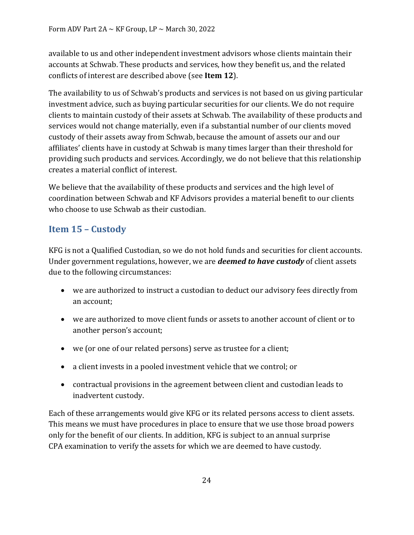available to us and other independent investment advisors whose clients maintain their accounts at Schwab. These products and services, how they benefit us, and the related conflicts of interest are described above (see **Item 12**).

The availability to us of Schwab's products and services is not based on us giving particular investment advice, such as buying particular securities for our clients. We do not require clients to maintain custody of their assets at Schwab. The availability of these products and services would not change materially, even if a substantial number of our clients moved custody of their assets away from Schwab, because the amount of assets our and our affiliates' clients have in custody at Schwab is many times larger than their threshold for providing such products and services. Accordingly, we do not believe that this relationship creates a material conflict of interest.

We believe that the availability of these products and services and the high level of coordination between Schwab and KF Advisors provides a material benefit to our clients who choose to use Schwab as their custodian.

# <span id="page-26-0"></span>**Item 15 – Custody**

KFG is not a Qualified Custodian, so we do not hold funds and securities for client accounts. Under government regulations, however, we are *deemed to have custody* of client assets due to the following circumstances:

- we are authorized to instruct a custodian to deduct our advisory fees directly from an account;
- we are authorized to move client funds or assets to another account of client or to another person's account;
- we (or one of our related persons) serve as trustee for a client;
- a client invests in a pooled investment vehicle that we control; or
- contractual provisions in the agreement between client and custodian leads to inadvertent custody.

Each of these arrangements would give KFG or its related persons access to client assets. This means we must have procedures in place to ensure that we use those broad powers only for the benefit of our clients. In addition, KFG is subject to an annual surprise CPA examination to verify the assets for which we are deemed to have custody.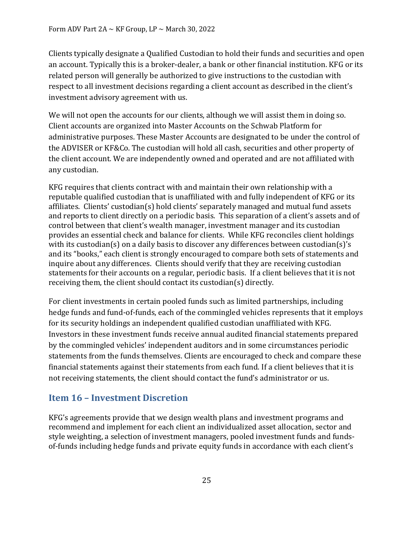Clients typically designate a Qualified Custodian to hold their funds and securities and open an account. Typically this is a broker-dealer, a bank or other financial institution. KFG or its related person will generally be authorized to give instructions to the custodian with respect to all investment decisions regarding a client account as described in the client's investment advisory agreement with us.

We will not open the accounts for our clients, although we will assist them in doing so. Client accounts are organized into Master Accounts on the Schwab Platform for administrative purposes. These Master Accounts are designated to be under the control of the ADVISER or KF&Co. The custodian will hold all cash, securities and other property of the client account. We are independently owned and operated and are not affiliated with any custodian.

KFG requires that clients contract with and maintain their own relationship with a reputable qualified custodian that is unaffiliated with and fully independent of KFG or its affiliates. Clients' custodian(s) hold clients' separately managed and mutual fund assets and reports to client directly on a periodic basis. This separation of a client's assets and of control between that client's wealth manager, investment manager and its custodian provides an essential check and balance for clients. While KFG reconciles client holdings with its custodian(s) on a daily basis to discover any differences between custodian(s)'s and its "books," each client is strongly encouraged to compare both sets of statements and inquire about any differences. Clients should verify that they are receiving custodian statements for their accounts on a regular, periodic basis. If a client believes that it is not receiving them, the client should contact its custodian(s) directly.

For client investments in certain pooled funds such as limited partnerships, including hedge funds and fund-of-funds, each of the commingled vehicles represents that it employs for its security holdings an independent qualified custodian unaffiliated with KFG. Investors in these investment funds receive annual audited financial statements prepared by the commingled vehicles' independent auditors and in some circumstances periodic statements from the funds themselves. Clients are encouraged to check and compare these financial statements against their statements from each fund. If a client believes that it is not receiving statements, the client should contact the fund's administrator or us.

### <span id="page-27-0"></span>**Item 16 – Investment Discretion**

KFG's agreements provide that we design wealth plans and investment programs and recommend and implement for each client an individualized asset allocation, sector and style weighting, a selection of investment managers, pooled investment funds and fundsof-funds including hedge funds and private equity funds in accordance with each client's